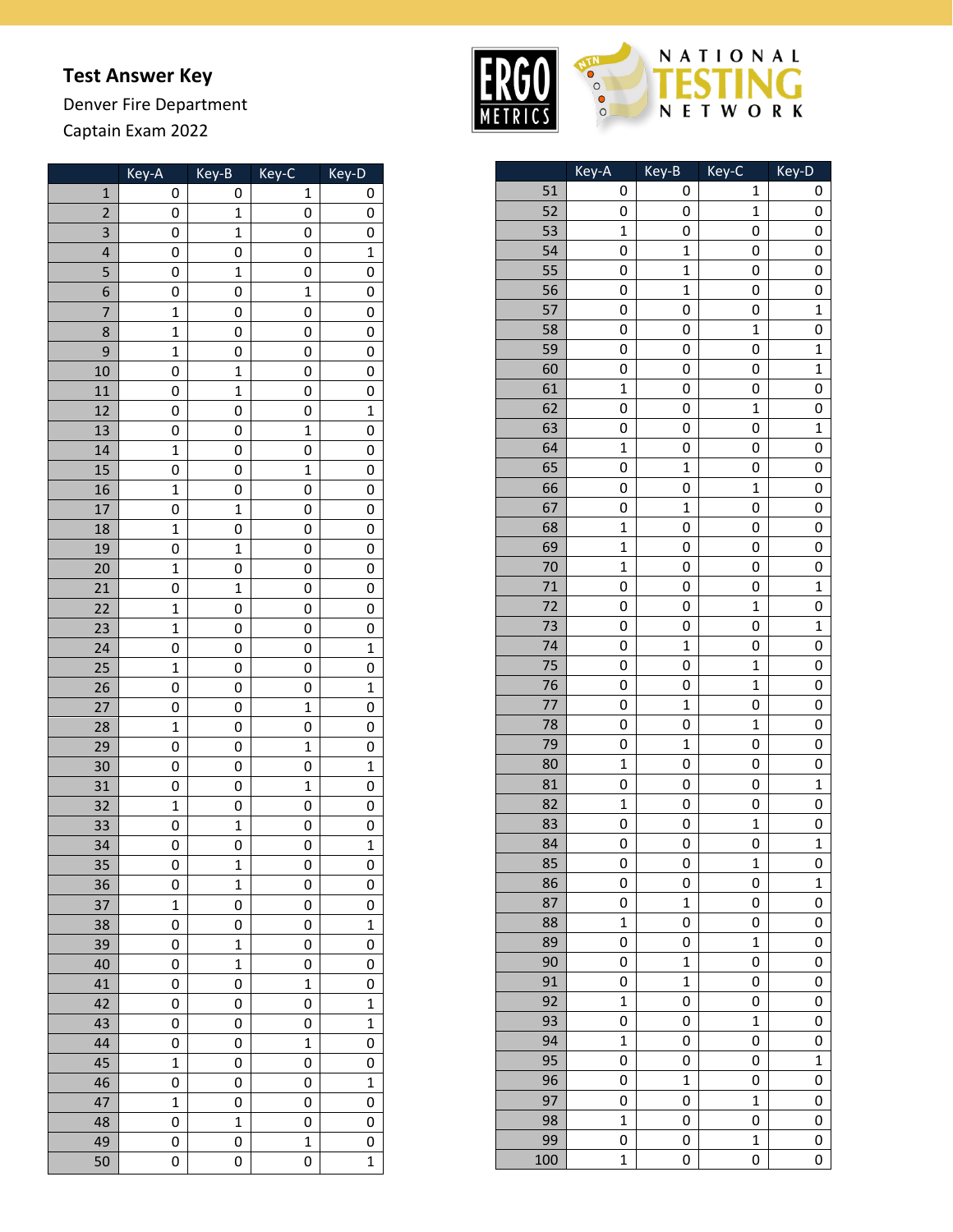## **Test Answer Key**

Denver Fire Department Captain Exam 202 2

|                | Key-A          | Key-B          | Key-C        | Key-D        |
|----------------|----------------|----------------|--------------|--------------|
| $\mathbf{1}$   | 0              | 0              | 1            | 0            |
| $\overline{2}$ | 0              | $\mathbf 1$    | 0            | 0            |
| 3              | 0              | $\mathbf{1}$   | 0            | 0            |
| 4              | 0              | 0              | 0            | $\mathbf 1$  |
| 5              | 0              | $\mathbf 1$    | 0            | 0            |
| 6              | 0              | 0              | $\mathbf 1$  | 0            |
| 7              | $\mathbf{1}$   | 0              | 0            | 0            |
| 8              | $\mathbf{1}$   | 0              | 0            | 0            |
| 9              | $\mathbf{1}$   | 0              | 0            | 0            |
| 10             | 0              | $\mathbf{1}$   | 0            | 0            |
| 11             | 0              | $\overline{1}$ | 0            | 0            |
| 12             | 0              | 0              | 0            | $\mathbf{1}$ |
| 13             | 0              | 0              | $\mathbf 1$  | 0            |
| 14             | $\mathbf{1}$   | 0              | 0            | 0            |
| 15             | 0              | 0              | $\mathbf{1}$ | 0            |
| 16             | $\mathbf{1}$   | 0              | 0            | 0            |
| 17             | 0              | $\mathbf{1}$   | 0            | 0            |
| 18             | $\overline{1}$ | 0              | 0            | 0            |
| 19             | 0              | $\mathbf 1$    | 0            | 0            |
| 20             | $\mathbf{1}$   | 0              | 0            | 0            |
| 21             | 0              | $\mathbf{1}$   | 0            | 0            |
| 22             | $\mathbf{1}$   | 0              | 0            | 0            |
| 23             | $\mathbf{1}$   | 0              | 0            | 0            |
| 24             | 0              | 0              | 0            | $\mathbf 1$  |
| 25             | $\mathbf{1}$   | 0              | 0            | 0            |
| 26             | 0              | 0              | 0            | $\mathbf{1}$ |
| 27             | 0              | 0              | $\mathbf{1}$ | 0            |
| 28             | $\mathbf{1}$   | 0              | 0            | 0            |
| 29             | 0              | 0              | $\mathbf 1$  | 0            |
| 30             | 0              | 0              | 0            | $\mathbf 1$  |
| 31             | 0              | 0              | $\mathbf 1$  | 0            |
| 32             | $\mathbf{1}$   | 0              | 0            | 0            |
| 33             | 0              | $\mathbf 1$    | 0            | 0            |
| 34             | 0              | 0              | 0            | $\mathbf{1}$ |
| 35             | O              | $\mathbf 1$    | 0            | 0            |
| 36             | 0              | $\mathbf 1$    | 0            | 0            |
| 37             | $\mathbf 1$    | 0              | 0            | 0            |
| 38             | 0              | 0              | 0            | $\mathbf 1$  |
| 39             | 0              | $\mathbf 1$    | 0            | 0            |
| 40             | 0              | $\mathbf 1$    | 0            | 0            |
| 41             | 0              | 0              | $\mathbf{1}$ | 0            |
| 42             | 0              | 0              | 0            | $\mathbf{1}$ |
| 43             | 0              | 0              | 0            | $\mathbf{1}$ |
| 44             | 0              | 0              | $\mathbf{1}$ | 0            |
| 45             | $\overline{1}$ | 0              | 0            | 0            |
| 46             | 0              | 0              | 0            | $\mathbf 1$  |
| 47             | $\mathbf 1$    | 0              | 0            | 0            |
| 48             | 0              | $\mathbf 1$    | 0            | 0            |
| 49             | 0              | 0              | $\mathbf 1$  | 0            |
| 50             | 0              | 0              | 0            | $\mathbf 1$  |



|     | Key-A        | Key-B        | Key-C          | Key-D          |
|-----|--------------|--------------|----------------|----------------|
| 51  | 0            | 0            | 1              | 0              |
| 52  | 0            | 0            | $\mathbf{1}$   | 0              |
| 53  | 1            | 0            | 0              | 0              |
| 54  | 0            | 1            | 0              | 0              |
| 55  | 0            | $\mathbf 1$  | 0              | 0              |
| 56  | 0            | $\mathbf 1$  | 0              | 0              |
| 57  | 0            | 0            | 0              | $\mathbf{1}$   |
| 58  | 0            | 0            | $\mathbf{1}$   | 0              |
| 59  | 0            | 0            | 0              | $\mathbf 1$    |
| 60  | 0            | 0            | 0              | $\mathbf{1}$   |
| 61  | $\mathbf{1}$ | 0            | 0              | 0              |
| 62  | 0            | 0            | $\mathbf 1$    | 0              |
| 63  | 0            | 0            | 0              | $\mathbf{1}$   |
| 64  | $\mathbf{1}$ | 0            | 0              | 0              |
| 65  | 0            | $\mathbf 1$  | 0              | 0              |
| 66  | 0            | 0            | $\overline{1}$ | 0              |
| 67  | 0            | $\mathbf 1$  | 0              | 0              |
| 68  | $\mathbf{1}$ | 0            | 0              | 0              |
| 69  | $\mathbf{1}$ | 0            | 0              | 0              |
| 70  | $\mathbf{1}$ | 0            | 0              | 0              |
| 71  | 0            | 0            | 0              | $\mathbf 1$    |
| 72  | 0            | 0            | $\mathbf 1$    | 0              |
| 73  | 0            | 0            | 0              | $\mathbf 1$    |
| 74  | 0            | $\mathbf 1$  | 0              | 0              |
| 75  | 0            | 0            | $\mathbf{1}$   | 0              |
| 76  | 0            | 0            | $\mathbf 1$    | 0              |
| 77  | 0            | $\mathbf{1}$ | 0              | 0              |
| 78  | 0            | 0            | $\mathbf{1}$   | 0              |
| 79  | 0            | $\mathbf 1$  | 0              | 0              |
| 80  | $\mathbf{1}$ | 0            | 0              | 0              |
| 81  | 0            | 0            | 0              | $\overline{1}$ |
| 82  | $\mathbf 1$  | 0            | 0              | 0              |
| 83  | 0            | 0            | $\mathbf{1}$   | 0              |
| 84  | 0            | 0            | 0              | $\mathbf 1$    |
| 85  | 0            | 0            | 1              | 0              |
| 86  | 0            | 0            | 0              | $\mathbf{1}$   |
| 87  | 0            | 1            | 0              | 0              |
| 88  | $\mathbf 1$  | 0            | 0              | 0              |
| 89  | 0            | 0            | $\mathbf{1}$   | 0              |
| 90  | 0            | $\mathbf 1$  | 0              | 0              |
| 91  | 0            | $\mathbf{1}$ | 0              | 0              |
| 92  | 1            | 0            | 0              | 0              |
| 93  | 0            | 0            | $\mathbf 1$    | 0              |
| 94  | $\mathbf 1$  | 0            | 0              | 0              |
| 95  | 0            | 0            | 0              | $\mathbf 1$    |
| 96  | 0            | 1            | 0              | 0              |
| 97  | 0            | 0            | $\mathbf 1$    | 0              |
| 98  | $\mathbf{1}$ | 0            | 0              | 0              |
| 99  | 0            | 0            | $\mathbf 1$    | 0              |
| 100 | $\mathbf 1$  | 0            | 0              | 0              |